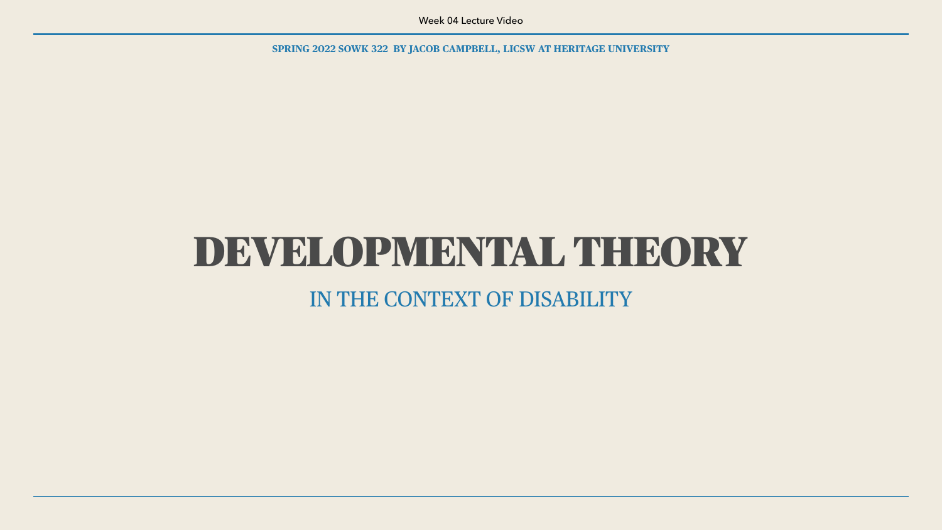**SPRING 2022 SOWK 322 BY JACOB CAMPBELL, LICSW AT HERITAGE UNIVERSITY**

### DEVELOPMENTAL THEORY IN THE CONTEXT OF DISABILITY

Week 04 Lecture Video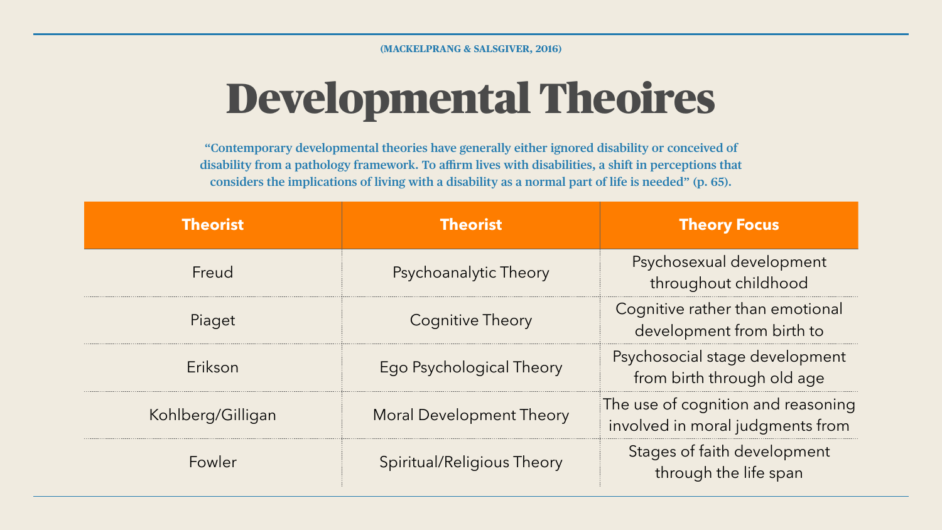# Developmental Theoires

| <b>Theorist</b>   | <b>Theorist</b>              | <b>Theory Focus</b>                                                    |
|-------------------|------------------------------|------------------------------------------------------------------------|
| Freud             | <b>Psychoanalytic Theory</b> | Psychosexual development<br>throughout childhood                       |
| Piaget            | <b>Cognitive Theory</b>      | Cognitive rather than emotional<br>development from birth to           |
| Erikson           | Ego Psychological Theory     | Psychosocial stage development<br>from birth through old age           |
| Kohlberg/Gilligan | Moral Development Theory     | The use of cognition and reasoning<br>involved in moral judgments from |
| Fowler            | Spiritual/Religious Theory   | Stages of faith development<br>through the life span                   |

**"Contemporary developmental theories have generally either ignored disability or conceived of disability from a pathology framework. To affirm lives with disabilities, a shift in perceptions that considers the implications of living with a disability as a normal part of life is needed" (p. 65).**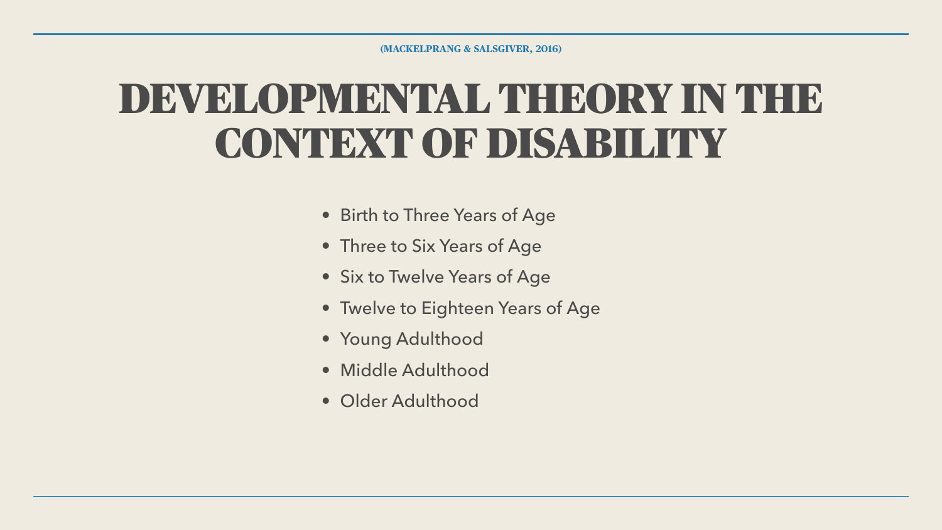### DEVELOPMENTAL THEORY IN THE CONTEXT OF DISABILITY

- Birth to Three Years of Age
- Three to Six Years of Age
- Six to Twelve Years of Age
- Twelve to Eighteen Years of Age
- Young Adulthood
- Middle Adulthood
- Older Adulthood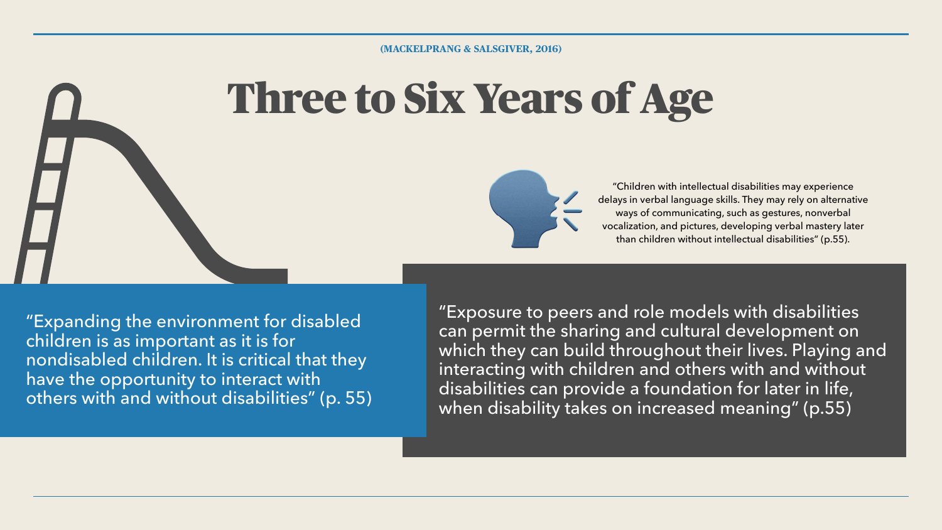# Three to Six Years of Age



"Children with intellectual disabilities may experience delays in verbal language skills. They may rely on alternative ways of communicating, such as gestures, nonverbal vocalization, and pictures, developing verbal mastery later than children without intellectual disabilities" (p.55).

"Exposure to peers and role models with disabilities can permit the sharing and cultural development on which they can build throughout their lives. Playing and interacting with children and others with and without disabilities can provide a foundation for later in life, when disability takes on increased meaning" (p.55)



"Expanding the environment for disabled children is as important as it is for nondisabled children. It is critical that they have the opportunity to interact with others with and without disabilities" (p. 55)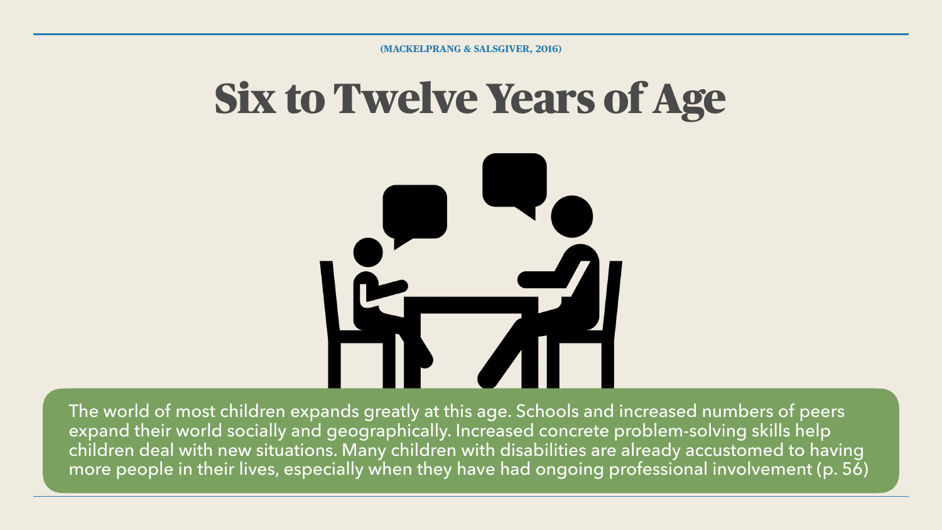# Six to Twelve Years of Age







The world of most children expands greatly at this age. Schools and increased numbers of peers expand their world socially and geographically. Increased concrete problem-solving skills help children deal with new situations. Many children with disabilities are already accustomed to having more people in their lives, especially when they have had ongoing professional involvement (p. 56)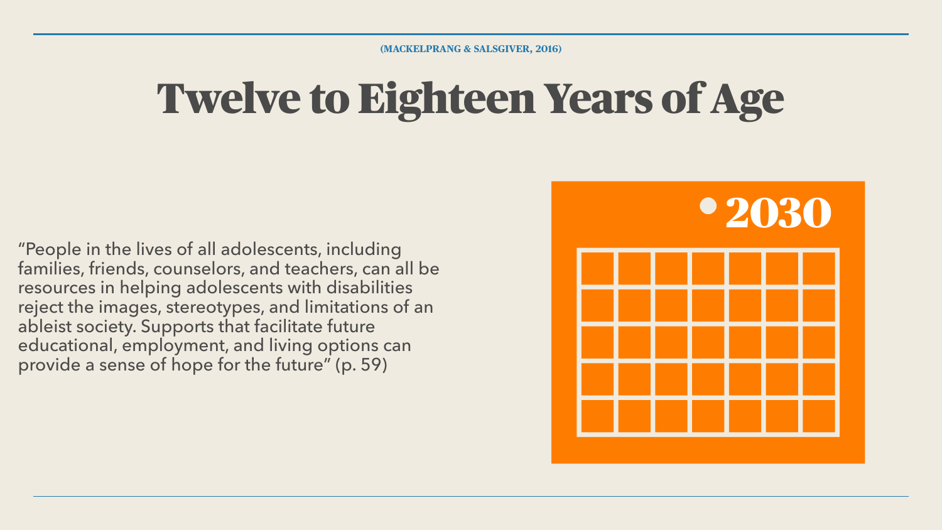# Twelve to Eighteen Years of Age

"People in the lives of all adolescents, including families, friends, counselors, and teachers, can all be resources in helping adolescents with disabilities reject the images, stereotypes, and limitations of an ableist society. Supports that facilitate future educational, employment, and living options can provide a sense of hope for the future" (p. 59)

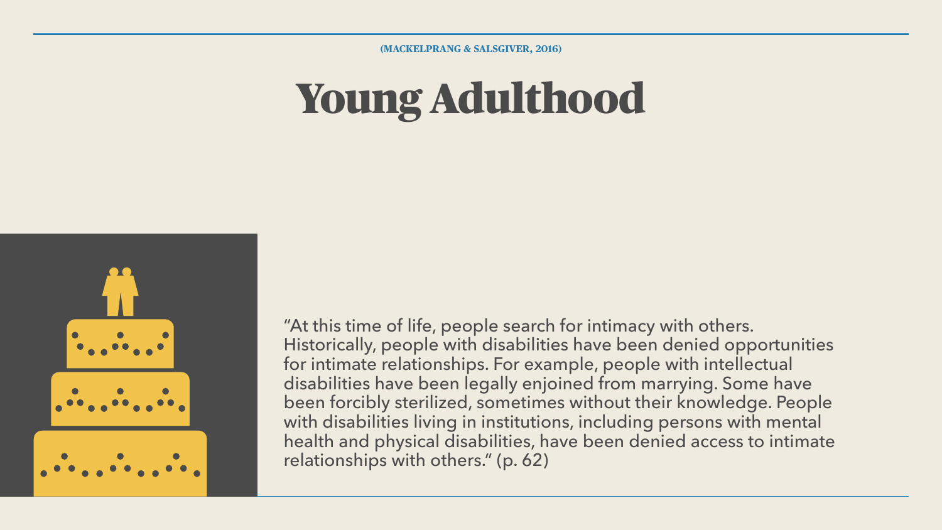### Young Adulthood

**(MACKELPRANG & SALSGIVER, 2016)**





"At this time of life, people search for intimacy with others. Historically, people with disabilities have been denied opportunities for intimate relationships. For example, people with intellectual disabilities have been legally enjoined from marrying. Some have been forcibly sterilized, sometimes without their knowledge. People with disabilities living in institutions, including persons with mental health and physical disabilities, have been denied access to intimate relationships with others." (p. 62)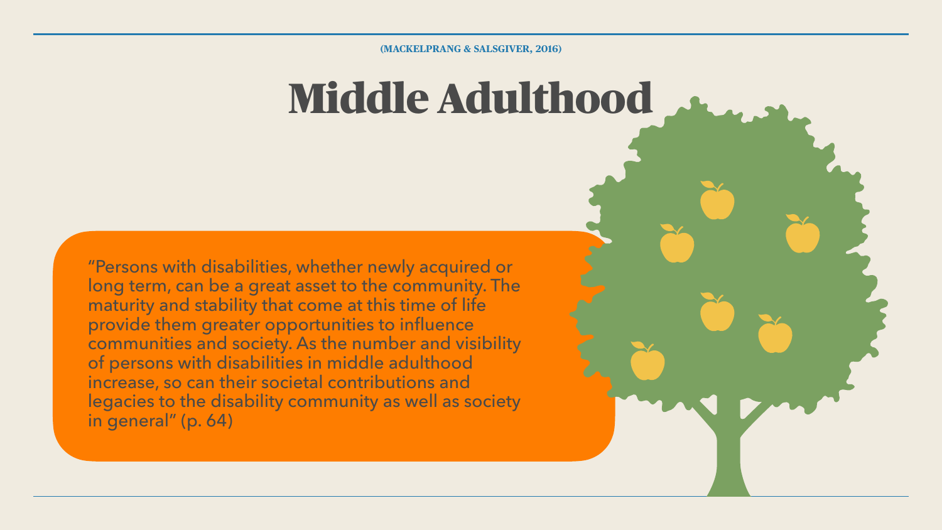# Middle Adulthood

**(MACKELPRANG & SALSGIVER, 2016)**



"Persons with disabilities, whether newly acquired or long term, can be a great asset to the community. The maturity and stability that come at this time of life provide them greater opportunities to influence communities and society. As the number and visibility of persons with disabilities in middle adulthood increase, so can their societal contributions and legacies to the disability community as well as society in general" (p. 64)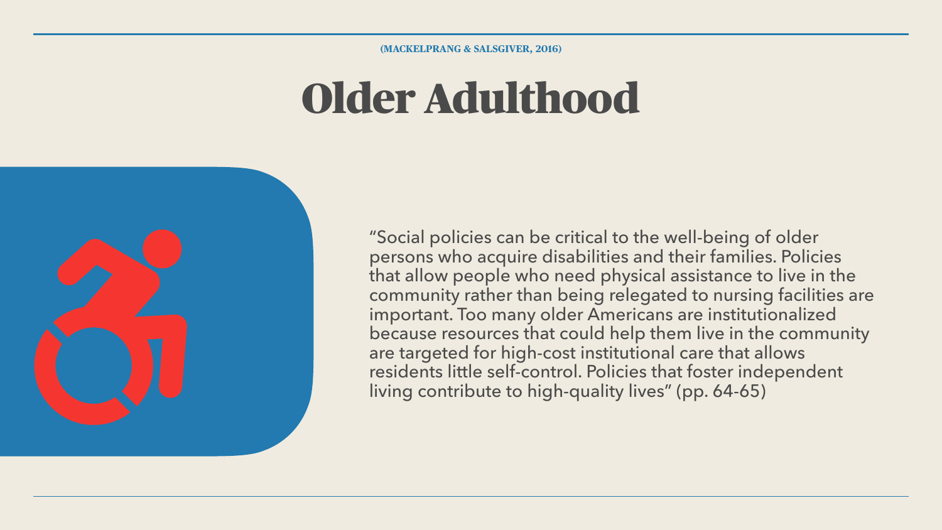## Older Adulthood



**(MACKELPRANG & SALSGIVER, 2016)**

"Social policies can be critical to the well-being of older persons who acquire disabilities and their families. Policies that allow people who need physical assistance to live in the community rather than being relegated to nursing facilities are important. Too many older Americans are institutionalized because resources that could help them live in the community are targeted for high-cost institutional care that allows residents little self-control. Policies that foster independent living contribute to high-quality lives" (pp. 64-65)